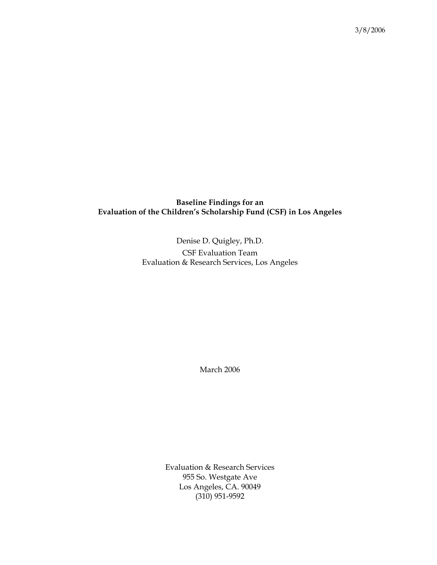# **Baseline Findings for an Evaluation of the Children's Scholarship Fund (CSF) in Los Angeles**

Denise D. Quigley, Ph.D. CSF Evaluation Team Evaluation & Research Services, Los Angeles

March 2006

Evaluation & Research Services 955 So. Westgate Ave Los Angeles, CA. 90049 (310) 951-9592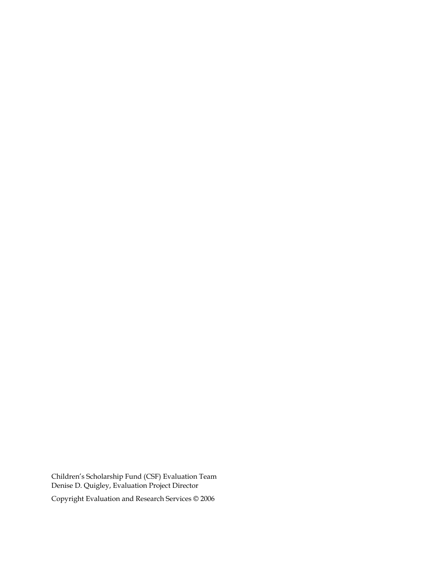Children's Scholarship Fund (CSF) Evaluation Team Denise D. Quigley, Evaluation Project Director Copyright Evaluation and Research Services © 2006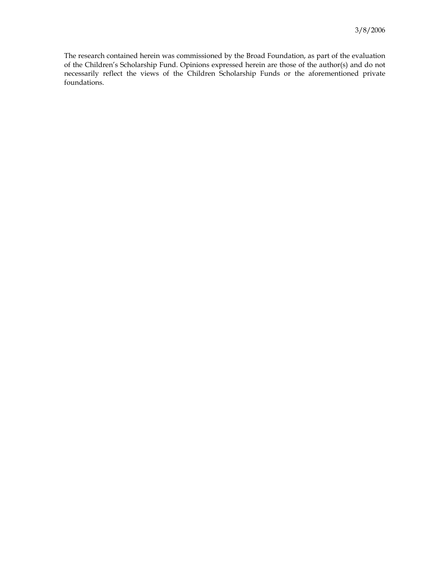The research contained herein was commissioned by the Broad Foundation, as part of the evaluation of the Children's Scholarship Fund. Opinions expressed herein are those of the author(s) and do not necessarily reflect the views of the Children Scholarship Funds or the aforementioned private foundations.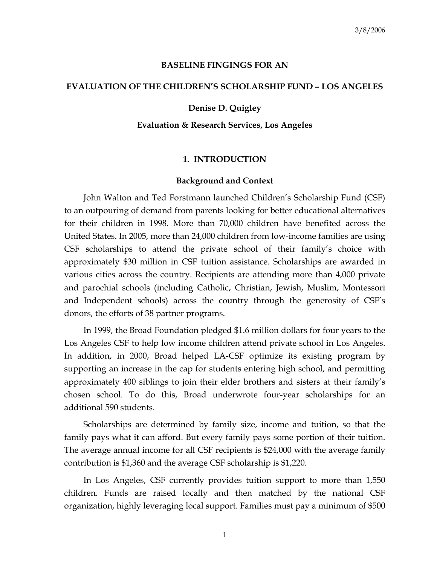#### **BASELINE FINGINGS FOR AN**

## **EVALUATION OF THE CHILDREN'S SCHOLARSHIP FUND – LOS ANGELES**

## **Denise D. Quigley**

## **Evaluation & Research Services, Los Angeles**

## **1. INTRODUCTION**

#### **Background and Context**

 John Walton and Ted Forstmann launched Children's Scholarship Fund (CSF) to an outpouring of demand from parents looking for better educational alternatives for their children in 1998. More than 70,000 children have benefited across the United States. In 2005, more than 24,000 children from low-income families are using CSF scholarships to attend the private school of their family's choice with approximately \$30 million in CSF tuition assistance. Scholarships are awarded in various cities across the country. Recipients are attending more than 4,000 private and parochial schools (including Catholic, Christian, Jewish, Muslim, Montessori and Independent schools) across the country through the generosity of CSF's donors, the efforts of 38 partner programs.

 In 1999, the Broad Foundation pledged \$1.6 million dollars for four years to the Los Angeles CSF to help low income children attend private school in Los Angeles. In addition, in 2000, Broad helped LA-CSF optimize its existing program by supporting an increase in the cap for students entering high school, and permitting approximately 400 siblings to join their elder brothers and sisters at their family's chosen school. To do this, Broad underwrote four-year scholarships for an additional 590 students.

 Scholarships are determined by family size, income and tuition, so that the family pays what it can afford. But every family pays some portion of their tuition. The average annual income for all CSF recipients is \$24,000 with the average family contribution is \$1,360 and the average CSF scholarship is \$1,220.

 In Los Angeles, CSF currently provides tuition support to more than 1,550 children. Funds are raised locally and then matched by the national CSF organization, highly leveraging local support. Families must pay a minimum of \$500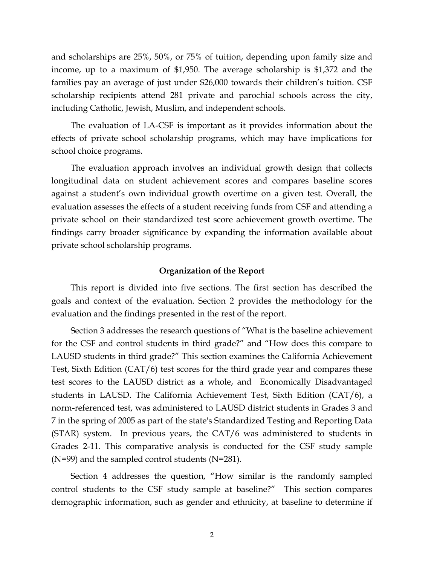and scholarships are 25%, 50%, or 75% of tuition, depending upon family size and income, up to a maximum of \$1,950. The average scholarship is \$1,372 and the families pay an average of just under \$26,000 towards their children's tuition. CSF scholarship recipients attend 281 private and parochial schools across the city, including Catholic, Jewish, Muslim, and independent schools.

 The evaluation of LA-CSF is important as it provides information about the effects of private school scholarship programs, which may have implications for school choice programs.

 The evaluation approach involves an individual growth design that collects longitudinal data on student achievement scores and compares baseline scores against a student's own individual growth overtime on a given test. Overall, the evaluation assesses the effects of a student receiving funds from CSF and attending a private school on their standardized test score achievement growth overtime. The findings carry broader significance by expanding the information available about private school scholarship programs.

#### **Organization of the Report**

 This report is divided into five sections. The first section has described the goals and context of the evaluation. Section 2 provides the methodology for the evaluation and the findings presented in the rest of the report.

 Section 3 addresses the research questions of "What is the baseline achievement for the CSF and control students in third grade?" and "How does this compare to LAUSD students in third grade?" This section examines the California Achievement Test, Sixth Edition (CAT/6) test scores for the third grade year and compares these test scores to the LAUSD district as a whole, and Economically Disadvantaged students in LAUSD. The California Achievement Test, Sixth Edition (CAT/6), a norm-referenced test, was administered to LAUSD district students in Grades 3 and 7 in the spring of 2005 as part of the state's Standardized Testing and Reporting Data (STAR) system. In previous years, the CAT/6 was administered to students in Grades 2-11. This comparative analysis is conducted for the CSF study sample  $(N=99)$  and the sampled control students  $(N=281)$ .

 Section 4 addresses the question, "How similar is the randomly sampled control students to the CSF study sample at baseline?" This section compares demographic information, such as gender and ethnicity, at baseline to determine if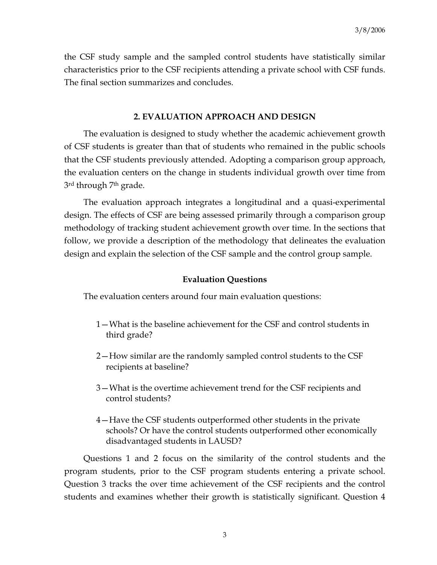the CSF study sample and the sampled control students have statistically similar characteristics prior to the CSF recipients attending a private school with CSF funds. The final section summarizes and concludes.

## **2. EVALUATION APPROACH AND DESIGN**

 The evaluation is designed to study whether the academic achievement growth of CSF students is greater than that of students who remained in the public schools that the CSF students previously attended. Adopting a comparison group approach, the evaluation centers on the change in students individual growth over time from 3<sup>rd</sup> through 7<sup>th</sup> grade.

 The evaluation approach integrates a longitudinal and a quasi-experimental design. The effects of CSF are being assessed primarily through a comparison group methodology of tracking student achievement growth over time. In the sections that follow, we provide a description of the methodology that delineates the evaluation design and explain the selection of the CSF sample and the control group sample.

## **Evaluation Questions**

The evaluation centers around four main evaluation questions:

- 1—What is the baseline achievement for the CSF and control students in third grade?
- 2—How similar are the randomly sampled control students to the CSF recipients at baseline?
- 3—What is the overtime achievement trend for the CSF recipients and control students?
- 4—Have the CSF students outperformed other students in the private schools? Or have the control students outperformed other economically disadvantaged students in LAUSD?

 Questions 1 and 2 focus on the similarity of the control students and the program students, prior to the CSF program students entering a private school. Question 3 tracks the over time achievement of the CSF recipients and the control students and examines whether their growth is statistically significant. Question 4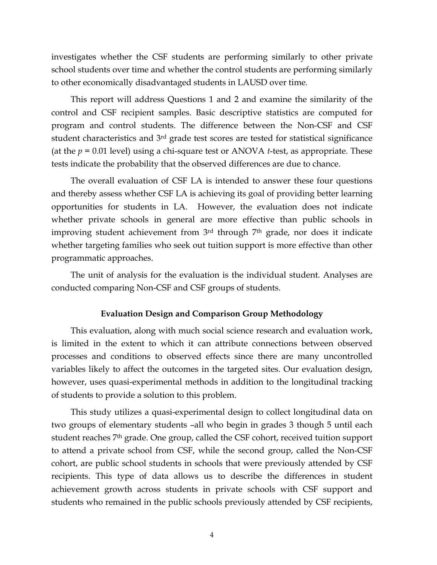investigates whether the CSF students are performing similarly to other private school students over time and whether the control students are performing similarly to other economically disadvantaged students in LAUSD over time.

 This report will address Questions 1 and 2 and examine the similarity of the control and CSF recipient samples. Basic descriptive statistics are computed for program and control students. The difference between the Non-CSF and CSF student characteristics and 3rd grade test scores are tested for statistical significance (at the *p* = 0.01 level) using a chi-square test or ANOVA *t*-test, as appropriate. These tests indicate the probability that the observed differences are due to chance.

 The overall evaluation of CSF LA is intended to answer these four questions and thereby assess whether CSF LA is achieving its goal of providing better learning opportunities for students in LA. However, the evaluation does not indicate whether private schools in general are more effective than public schools in improving student achievement from 3rd through 7th grade, nor does it indicate whether targeting families who seek out tuition support is more effective than other programmatic approaches.

 The unit of analysis for the evaluation is the individual student. Analyses are conducted comparing Non-CSF and CSF groups of students.

#### **Evaluation Design and Comparison Group Methodology**

 This evaluation, along with much social science research and evaluation work, is limited in the extent to which it can attribute connections between observed processes and conditions to observed effects since there are many uncontrolled variables likely to affect the outcomes in the targeted sites. Our evaluation design, however, uses quasi-experimental methods in addition to the longitudinal tracking of students to provide a solution to this problem.

 This study utilizes a quasi-experimental design to collect longitudinal data on two groups of elementary students –all who begin in grades 3 though 5 until each student reaches 7th grade. One group, called the CSF cohort, received tuition support to attend a private school from CSF, while the second group, called the Non-CSF cohort, are public school students in schools that were previously attended by CSF recipients. This type of data allows us to describe the differences in student achievement growth across students in private schools with CSF support and students who remained in the public schools previously attended by CSF recipients,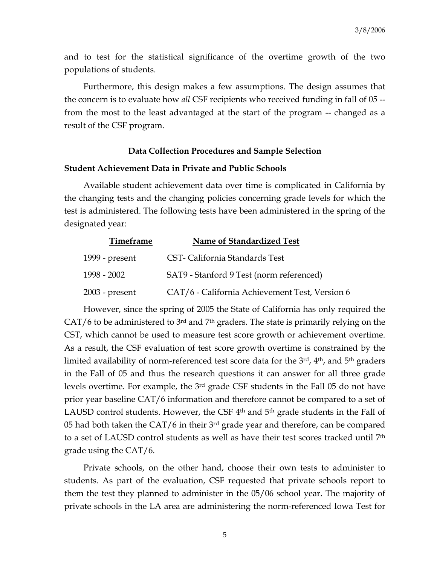and to test for the statistical significance of the overtime growth of the two populations of students.

 Furthermore, this design makes a few assumptions. The design assumes that the concern is to evaluate how *all* CSF recipients who received funding in fall of 05 - from the most to the least advantaged at the start of the program -- changed as a result of the CSF program.

#### **Data Collection Procedures and Sample Selection**

# **Student Achievement Data in Private and Public Schools**

 Available student achievement data over time is complicated in California by the changing tests and the changing policies concerning grade levels for which the test is administered. The following tests have been administered in the spring of the designated year:

| <b>Timeframe</b> | Name of Standardized Test                      |
|------------------|------------------------------------------------|
| 1999 - present   | CST-California Standards Test                  |
| 1998 - 2002      | SAT9 - Stanford 9 Test (norm referenced)       |
| $2003$ - present | CAT/6 - California Achievement Test, Version 6 |

 However, since the spring of 2005 the State of California has only required the  $CAT/6$  to be administered to  $3<sup>rd</sup>$  and  $7<sup>th</sup>$  graders. The state is primarily relying on the CST, which cannot be used to measure test score growth or achievement overtime. As a result, the CSF evaluation of test score growth overtime is constrained by the limited availability of norm-referenced test score data for the 3<sup>rd</sup>, 4<sup>th</sup>, and 5<sup>th</sup> graders in the Fall of 05 and thus the research questions it can answer for all three grade levels overtime. For example, the  $3<sup>rd</sup>$  grade CSF students in the Fall 05 do not have prior year baseline CAT/6 information and therefore cannot be compared to a set of LAUSD control students. However, the CSF 4<sup>th</sup> and 5<sup>th</sup> grade students in the Fall of 05 had both taken the  $CAT/6$  in their  $3<sup>rd</sup>$  grade year and therefore, can be compared to a set of LAUSD control students as well as have their test scores tracked until 7th grade using the CAT/6.

 Private schools, on the other hand, choose their own tests to administer to students. As part of the evaluation, CSF requested that private schools report to them the test they planned to administer in the 05/06 school year. The majority of private schools in the LA area are administering the norm-referenced Iowa Test for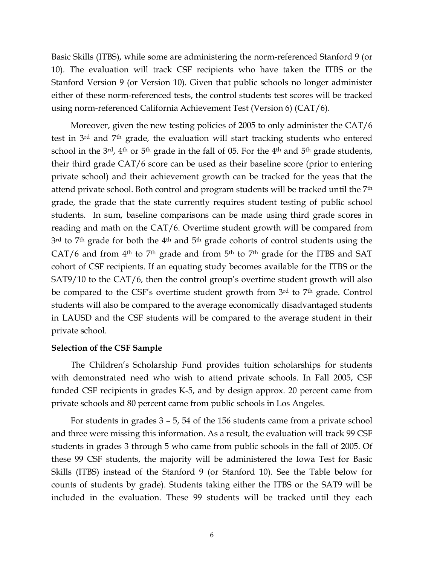Basic Skills (ITBS), while some are administering the norm-referenced Stanford 9 (or 10). The evaluation will track CSF recipients who have taken the ITBS or the Stanford Version 9 (or Version 10). Given that public schools no longer administer either of these norm-referenced tests, the control students test scores will be tracked using norm-referenced California Achievement Test (Version 6) (CAT/6).

 Moreover, given the new testing policies of 2005 to only administer the CAT/6 test in 3rd and 7th grade, the evaluation will start tracking students who entered school in the  $3<sup>rd</sup>$ , 4<sup>th</sup> or 5<sup>th</sup> grade in the fall of 05. For the 4<sup>th</sup> and 5<sup>th</sup> grade students, their third grade CAT/6 score can be used as their baseline score (prior to entering private school) and their achievement growth can be tracked for the yeas that the attend private school. Both control and program students will be tracked until the 7th grade, the grade that the state currently requires student testing of public school students. In sum, baseline comparisons can be made using third grade scores in reading and math on the CAT/6. Overtime student growth will be compared from 3<sup>rd</sup> to 7<sup>th</sup> grade for both the 4<sup>th</sup> and 5<sup>th</sup> grade cohorts of control students using the CAT/6 and from  $4<sup>th</sup>$  to  $7<sup>th</sup>$  grade and from  $5<sup>th</sup>$  to  $7<sup>th</sup>$  grade for the ITBS and SAT cohort of CSF recipients. If an equating study becomes available for the ITBS or the SAT9/10 to the CAT/6, then the control group's overtime student growth will also be compared to the CSF's overtime student growth from 3rd to 7<sup>th</sup> grade. Control students will also be compared to the average economically disadvantaged students in LAUSD and the CSF students will be compared to the average student in their private school.

#### **Selection of the CSF Sample**

 The Children's Scholarship Fund provides tuition scholarships for students with demonstrated need who wish to attend private schools. In Fall 2005, CSF funded CSF recipients in grades K-5, and by design approx. 20 percent came from private schools and 80 percent came from public schools in Los Angeles.

 For students in grades 3 – 5, 54 of the 156 students came from a private school and three were missing this information. As a result, the evaluation will track 99 CSF students in grades 3 through 5 who came from public schools in the fall of 2005. Of these 99 CSF students, the majority will be administered the Iowa Test for Basic Skills (ITBS) instead of the Stanford 9 (or Stanford 10). See the Table below for counts of students by grade). Students taking either the ITBS or the SAT9 will be included in the evaluation. These 99 students will be tracked until they each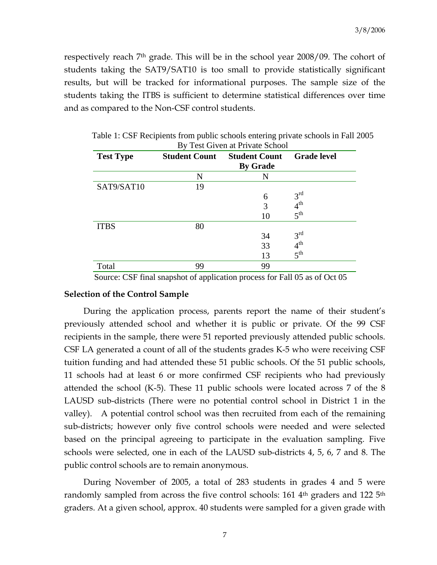respectively reach  $7<sup>th</sup>$  grade. This will be in the school year 2008/09. The cohort of students taking the SAT9/SAT10 is too small to provide statistically significant results, but will be tracked for informational purposes. The sample size of the students taking the ITBS is sufficient to determine statistical differences over time and as compared to the Non-CSF control students.

| <b>Test Type</b> | <b>Student Count</b> | <b>Student Count</b><br><b>By Grade</b> | <b>Grade level</b>   |
|------------------|----------------------|-----------------------------------------|----------------------|
|                  | N                    | N                                       |                      |
| SAT9/SAT10       | 19                   |                                         |                      |
|                  |                      | 6                                       | 3 <sup>rd</sup>      |
|                  |                      | 3                                       | 4 <sup>th</sup>      |
|                  |                      | 10                                      | 5 <sup>th</sup>      |
| <b>ITBS</b>      | 80                   |                                         |                      |
|                  |                      | 34                                      | 3 <sup>rd</sup>      |
|                  |                      | 33                                      | $4^{th}$<br>$5^{th}$ |
|                  |                      | 13                                      |                      |
| Total            | 99                   | 99                                      |                      |

Table 1: CSF Recipients from public schools entering private schools in Fall 2005 By Test Given at Private School

Source: CSF final snapshot of application process for Fall 05 as of Oct 05

#### **Selection of the Control Sample**

 During the application process, parents report the name of their student's previously attended school and whether it is public or private. Of the 99 CSF recipients in the sample, there were 51 reported previously attended public schools. CSF LA generated a count of all of the students grades K-5 who were receiving CSF tuition funding and had attended these 51 public schools. Of the 51 public schools, 11 schools had at least 6 or more confirmed CSF recipients who had previously attended the school (K-5). These 11 public schools were located across 7 of the 8 LAUSD sub-districts (There were no potential control school in District 1 in the valley). A potential control school was then recruited from each of the remaining sub-districts; however only five control schools were needed and were selected based on the principal agreeing to participate in the evaluation sampling. Five schools were selected, one in each of the LAUSD sub-districts 4, 5, 6, 7 and 8. The public control schools are to remain anonymous.

 During November of 2005, a total of 283 students in grades 4 and 5 were randomly sampled from across the five control schools: 161 4<sup>th</sup> graders and 122 5<sup>th</sup> graders. At a given school, approx. 40 students were sampled for a given grade with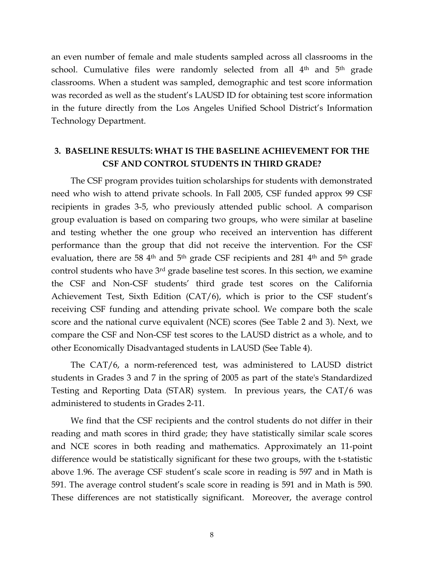an even number of female and male students sampled across all classrooms in the school. Cumulative files were randomly selected from all 4<sup>th</sup> and 5<sup>th</sup> grade classrooms. When a student was sampled, demographic and test score information was recorded as well as the student's LAUSD ID for obtaining test score information in the future directly from the Los Angeles Unified School District's Information Technology Department.

# **3. BASELINE RESULTS: WHAT IS THE BASELINE ACHIEVEMENT FOR THE CSF AND CONTROL STUDENTS IN THIRD GRADE?**

 The CSF program provides tuition scholarships for students with demonstrated need who wish to attend private schools. In Fall 2005, CSF funded approx 99 CSF recipients in grades 3-5, who previously attended public school. A comparison group evaluation is based on comparing two groups, who were similar at baseline and testing whether the one group who received an intervention has different performance than the group that did not receive the intervention. For the CSF evaluation, there are 58 4<sup>th</sup> and 5<sup>th</sup> grade CSF recipients and 281 4<sup>th</sup> and 5<sup>th</sup> grade control students who have 3rd grade baseline test scores. In this section, we examine the CSF and Non-CSF students' third grade test scores on the California Achievement Test, Sixth Edition (CAT/6), which is prior to the CSF student's receiving CSF funding and attending private school. We compare both the scale score and the national curve equivalent (NCE) scores (See Table 2 and 3). Next, we compare the CSF and Non-CSF test scores to the LAUSD district as a whole, and to other Economically Disadvantaged students in LAUSD (See Table 4).

 The CAT/6, a norm-referenced test, was administered to LAUSD district students in Grades 3 and 7 in the spring of 2005 as part of the state's Standardized Testing and Reporting Data (STAR) system. In previous years, the CAT/6 was administered to students in Grades 2-11.

 We find that the CSF recipients and the control students do not differ in their reading and math scores in third grade; they have statistically similar scale scores and NCE scores in both reading and mathematics. Approximately an 11-point difference would be statistically significant for these two groups, with the t-statistic above 1.96. The average CSF student's scale score in reading is 597 and in Math is 591. The average control student's scale score in reading is 591 and in Math is 590. These differences are not statistically significant. Moreover, the average control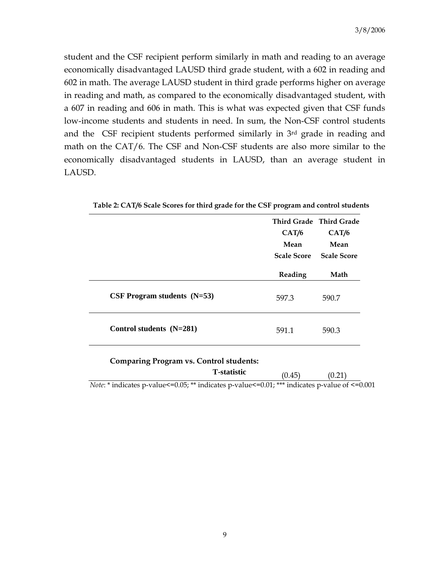student and the CSF recipient perform similarly in math and reading to an average economically disadvantaged LAUSD third grade student, with a 602 in reading and 602 in math. The average LAUSD student in third grade performs higher on average in reading and math, as compared to the economically disadvantaged student, with a 607 in reading and 606 in math. This is what was expected given that CSF funds low-income students and students in need. In sum, the Non-CSF control students and the CSF recipient students performed similarly in 3rd grade in reading and math on the CAT/6. The CSF and Non-CSF students are also more similar to the economically disadvantaged students in LAUSD, than an average student in LAUSD.

|                               | Third Grade Third Grade<br>CAT/6<br>Mean<br><b>Scale Score</b> | CAT/6<br>Mean<br><b>Scale Score</b> |
|-------------------------------|----------------------------------------------------------------|-------------------------------------|
|                               | Reading                                                        | Math                                |
| CSF Program students $(N=53)$ | 597.3                                                          | 590.7                               |
| Control students (N=281)      | 591.1                                                          | 590.3                               |

**Table 2: CAT/6 Scale Scores for third grade for the CSF program and control students** 

#### **Comparing Program vs. Control students:**

# **T-statistic** (0.45) (0.21)

*Note*: \* indicates p-value<=0.05; \*\* indicates p-value<=0.01; \*\*\* indicates p-value of <=0.001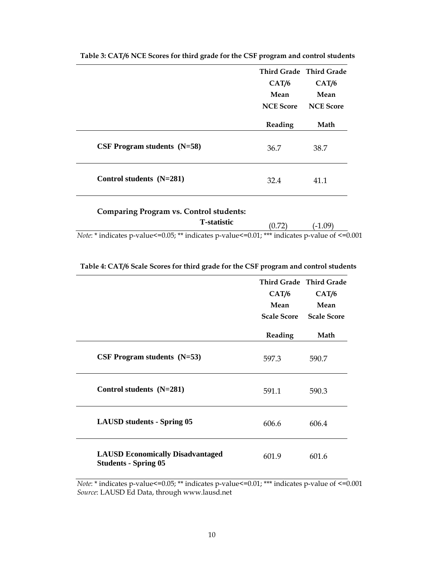|                               | Third Grade Third Grade |                  |
|-------------------------------|-------------------------|------------------|
|                               | CAT/6                   | CAT/6            |
|                               | Mean                    | Mean             |
|                               | <b>NCE</b> Score        | <b>NCE Score</b> |
|                               | Reading                 | Math             |
| CSF Program students $(N=58)$ | 36.7                    | 38.7             |
| Control students (N=281)      | 32.4                    | 41.1             |

**Table 3: CAT/6 NCE Scores for third grade for the CSF program and control students** 

| <b>Comparing Program vs. Control students:</b>                                                                   |        |           |  |
|------------------------------------------------------------------------------------------------------------------|--------|-----------|--|
| <b>T</b> -statistic                                                                                              | (0.72) | $(-1.09)$ |  |
| <i>Note</i> : $*$ indicates p-value <= 0.05; $**$ indicates p-value <= 0.01; $***$ indicates p-value of <= 0.001 |        |           |  |

| Table 4: CAT/6 Scale Scores for third grade for the CSF program and control students |  |  |
|--------------------------------------------------------------------------------------|--|--|
|                                                                                      |  |  |

|                                                                        | CAT/6<br>Mean<br><b>Scale Score</b> | Third Grade Third Grade<br>CAT/6<br>Mean<br><b>Scale Score</b> |
|------------------------------------------------------------------------|-------------------------------------|----------------------------------------------------------------|
|                                                                        | Reading                             | Math                                                           |
| CSF Program students $(N=53)$                                          | 597.3                               | 590.7                                                          |
| Control students (N=281)                                               | 591.1                               | 590.3                                                          |
| <b>LAUSD</b> students - Spring 05                                      | 606.6                               | 606.4                                                          |
| <b>LAUSD Economically Disadvantaged</b><br><b>Students - Spring 05</b> | 601.9                               | 601.6                                                          |

*Note*: \* indicates p-value <= 0.05; \*\* indicates p-value <= 0.01; \*\*\* indicates p-value of <= 0.001 *Source*: LAUSD Ed Data, through www.lausd.net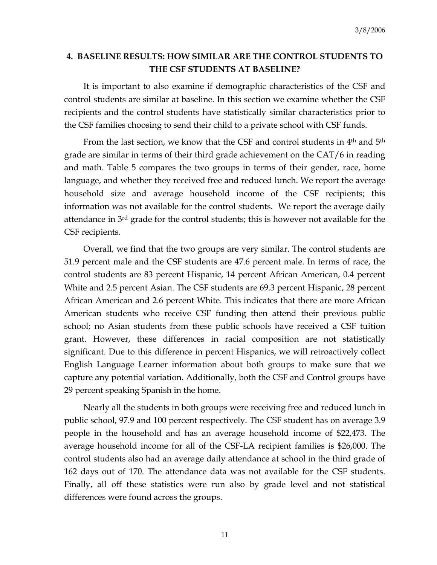# **4. BASELINE RESULTS: HOW SIMILAR ARE THE CONTROL STUDENTS TO THE CSF STUDENTS AT BASELINE?**

 It is important to also examine if demographic characteristics of the CSF and control students are similar at baseline. In this section we examine whether the CSF recipients and the control students have statistically similar characteristics prior to the CSF families choosing to send their child to a private school with CSF funds.

From the last section, we know that the CSF and control students in 4<sup>th</sup> and 5<sup>th</sup> grade are similar in terms of their third grade achievement on the CAT/6 in reading and math. Table 5 compares the two groups in terms of their gender, race, home language, and whether they received free and reduced lunch. We report the average household size and average household income of the CSF recipients; this information was not available for the control students. We report the average daily attendance in 3<sup>rd</sup> grade for the control students; this is however not available for the CSF recipients.

 Overall, we find that the two groups are very similar. The control students are 51.9 percent male and the CSF students are 47.6 percent male. In terms of race, the control students are 83 percent Hispanic, 14 percent African American, 0.4 percent White and 2.5 percent Asian. The CSF students are 69.3 percent Hispanic, 28 percent African American and 2.6 percent White. This indicates that there are more African American students who receive CSF funding then attend their previous public school; no Asian students from these public schools have received a CSF tuition grant. However, these differences in racial composition are not statistically significant. Due to this difference in percent Hispanics, we will retroactively collect English Language Learner information about both groups to make sure that we capture any potential variation. Additionally, both the CSF and Control groups have 29 percent speaking Spanish in the home.

 Nearly all the students in both groups were receiving free and reduced lunch in public school, 97.9 and 100 percent respectively. The CSF student has on average 3.9 people in the household and has an average household income of \$22,473. The average household income for all of the CSF-LA recipient families is \$26,000. The control students also had an average daily attendance at school in the third grade of 162 days out of 170. The attendance data was not available for the CSF students. Finally, all off these statistics were run also by grade level and not statistical differences were found across the groups.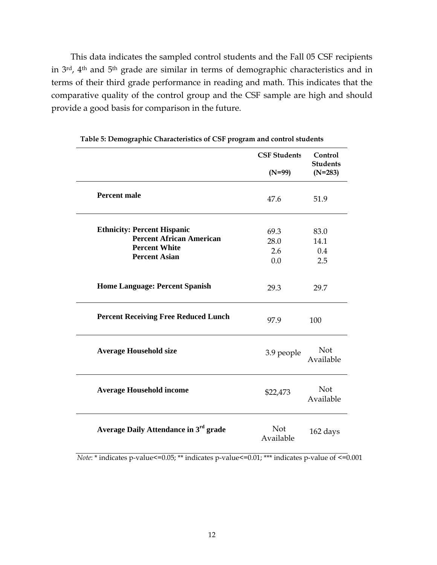This data indicates the sampled control students and the Fall 05 CSF recipients in 3rd, 4th and 5th grade are similar in terms of demographic characteristics and in terms of their third grade performance in reading and math. This indicates that the comparative quality of the control group and the CSF sample are high and should provide a good basis for comparison in the future.

|                                                                                                                       | <b>CSF Students</b>        | Control<br><b>Students</b> |
|-----------------------------------------------------------------------------------------------------------------------|----------------------------|----------------------------|
|                                                                                                                       | $(N=99)$                   | $(N=283)$                  |
| <b>Percent male</b>                                                                                                   | 47.6                       | 51.9                       |
| <b>Ethnicity: Percent Hispanic</b><br><b>Percent African American</b><br><b>Percent White</b><br><b>Percent Asian</b> | 69.3<br>28.0<br>2.6<br>0.0 | 83.0<br>14.1<br>0.4<br>2.5 |
| <b>Home Language: Percent Spanish</b>                                                                                 | 29.3                       | 29.7                       |
| <b>Percent Receiving Free Reduced Lunch</b>                                                                           | 97.9                       | 100                        |
| <b>Average Household size</b>                                                                                         | 3.9 people                 | Not<br>Available           |
| <b>Average Household income</b>                                                                                       | \$22,473                   | Not<br>Available           |
| Average Daily Attendance in 3 <sup>rd</sup> grade                                                                     | Not<br>Available           | 162 days                   |

**Table 5: Demographic Characteristics of CSF program and control students** 

*Note*: \* indicates p-value <= 0.05; \*\* indicates p-value <= 0.01; \*\*\* indicates p-value of <= 0.001